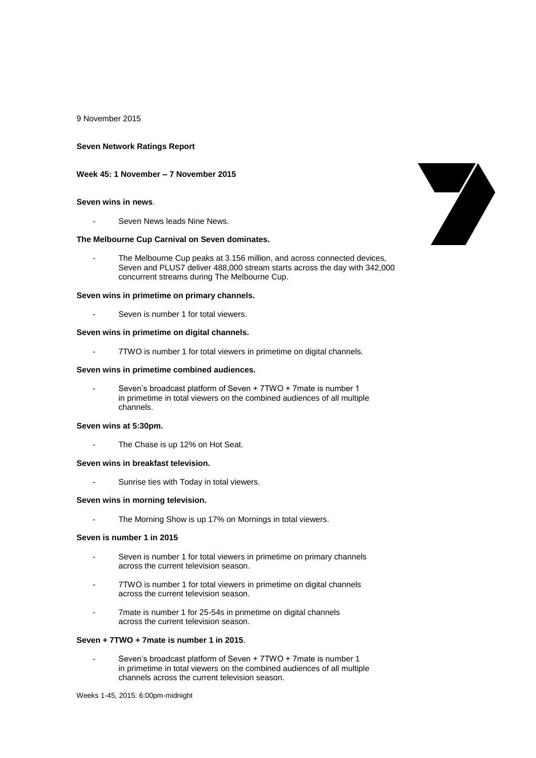9 November 2015

### **Seven Network Ratings Report**

### **Week 45: 1 November – 7 November 2015**

## **Seven wins in news**.

Seven News leads Nine News.

### **The Melbourne Cup Carnival on Seven dominates.**

The Melbourne Cup peaks at 3.156 million, and across connected devices, Seven and PLUS7 deliver 488,000 stream starts across the day with 342,000 concurrent streams during The Melbourne Cup.

#### **Seven wins in primetime on primary channels.**

Seven is number 1 for total viewers.

### **Seven wins in primetime on digital channels.**

7TWO is number 1 for total viewers in primetime on digital channels.

## **Seven wins in primetime combined audiences.**

Seven's broadcast platform of Seven + 7TWO + 7mate is number 1 in primetime in total viewers on the combined audiences of all multiple channels.

### **Seven wins at 5:30pm.**

The Chase is up 12% on Hot Seat.

## **Seven wins in breakfast television.**

Sunrise ties with Today in total viewers.

#### **Seven wins in morning television.**

The Morning Show is up 17% on Mornings in total viewers.

#### **Seven is number 1 in 2015**

- Seven is number 1 for total viewers in primetime on primary channels across the current television season.
- 7TWO is number 1 for total viewers in primetime on digital channels across the current television season.
- 7mate is number 1 for 25-54s in primetime on digital channels across the current television season.

## **Seven + 7TWO + 7mate is number 1 in 2015**.

Seven's broadcast platform of Seven + 7TWO + 7mate is number 1 in primetime in total viewers on the combined audiences of all multiple channels across the current television season.

Weeks 1-45, 2015: 6:00pm-midnight

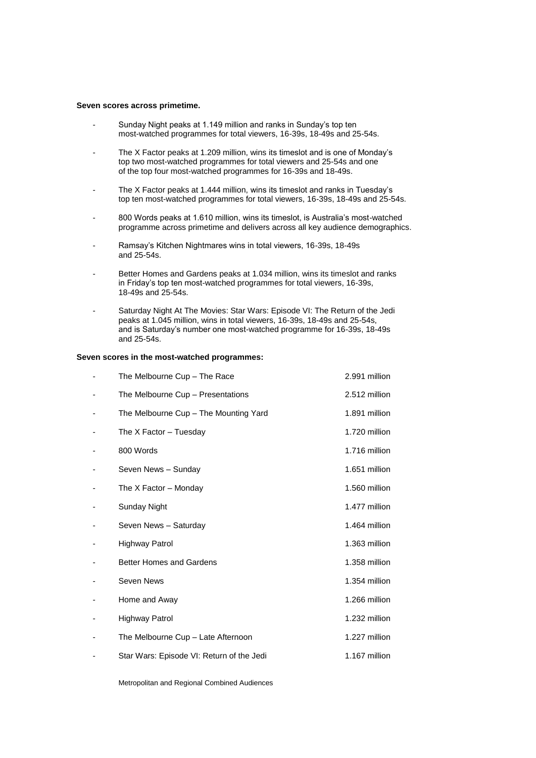#### **Seven scores across primetime.**

- Sunday Night peaks at 1.149 million and ranks in Sunday's top ten most-watched programmes for total viewers, 16-39s, 18-49s and 25-54s.
- The X Factor peaks at 1.209 million, wins its timeslot and is one of Monday's top two most-watched programmes for total viewers and 25-54s and one of the top four most-watched programmes for 16-39s and 18-49s.
- The X Factor peaks at 1.444 million, wins its timeslot and ranks in Tuesday's top ten most-watched programmes for total viewers, 16-39s, 18-49s and 25-54s.
- 800 Words peaks at 1.610 million, wins its timeslot, is Australia's most-watched programme across primetime and delivers across all key audience demographics.
- Ramsay's Kitchen Nightmares wins in total viewers, 16-39s, 18-49s and 25-54s.
- Better Homes and Gardens peaks at 1.034 million, wins its timeslot and ranks in Friday's top ten most-watched programmes for total viewers, 16-39s, 18-49s and 25-54s.
- Saturday Night At The Movies: Star Wars: Episode VI: The Return of the Jedi peaks at 1.045 million, wins in total viewers, 16-39s, 18-49s and 25-54s, and is Saturday's number one most-watched programme for 16-39s, 18-49s and 25-54s.

#### **Seven scores in the most-watched programmes:**

| The Melbourne Cup - The Race              | 2.991 million |
|-------------------------------------------|---------------|
| The Melbourne Cup - Presentations         | 2.512 million |
| The Melbourne Cup - The Mounting Yard     | 1.891 million |
| The X Factor - Tuesday                    | 1.720 million |
| 800 Words                                 | 1.716 million |
| Seven News - Sunday                       | 1.651 million |
| The X Factor - Monday                     | 1.560 million |
| <b>Sunday Night</b>                       | 1.477 million |
| Seven News - Saturday                     | 1.464 million |
| Highway Patrol                            | 1.363 million |
| <b>Better Homes and Gardens</b>           | 1.358 million |
| Seven News                                | 1.354 million |
| Home and Away                             | 1.266 million |
| Highway Patrol                            | 1.232 million |
| The Melbourne Cup - Late Afternoon        | 1.227 million |
| Star Wars: Episode VI: Return of the Jedi | 1.167 million |
|                                           |               |

Metropolitan and Regional Combined Audiences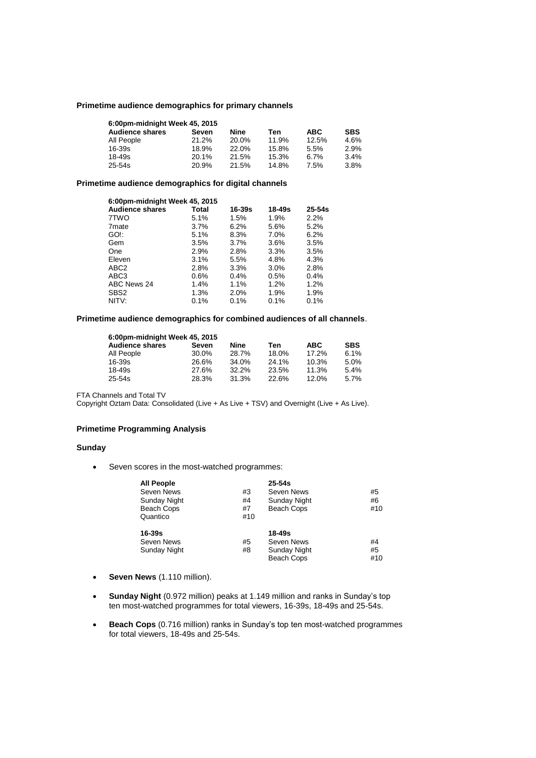## **Primetime audience demographics for primary channels**

| 6:00pm-midnight Week 45, 2015 |       |       |            |            |  |
|-------------------------------|-------|-------|------------|------------|--|
| Seven                         | Nine  | Ten   | <b>ABC</b> | <b>SBS</b> |  |
| 21.2%                         | 20.0% | 11.9% | 12.5%      | 4.6%       |  |
| 18.9%                         | 22.0% | 15.8% | 5.5%       | 2.9%       |  |
| 20.1%                         | 21.5% | 15.3% | 6.7%       | 3.4%       |  |
| 20.9%                         | 21.5% | 14.8% | 7.5%       | 3.8%       |  |
|                               |       |       |            |            |  |

# **Primetime audience demographics for digital channels**

| 6:00pm-midnight Week 45, 2015 |         |            |            |            |  |
|-------------------------------|---------|------------|------------|------------|--|
| <b>Audience shares</b>        | Total   | $16 - 39s$ | $18 - 49s$ | $25 - 54s$ |  |
| 7TWO                          | 5.1%    | 1.5%       | 1.9%       | 2.2%       |  |
| 7 <sub>mate</sub>             | $3.7\%$ | 6.2%       | 5.6%       | 5.2%       |  |
| GO!:                          | 5.1%    | 8.3%       | 7.0%       | 6.2%       |  |
| Gem                           | 3.5%    | $3.7\%$    | 3.6%       | 3.5%       |  |
| One                           | 2.9%    | 2.8%       | 3.3%       | 3.5%       |  |
| Eleven                        | 3.1%    | 5.5%       | 4.8%       | 4.3%       |  |
| ABC <sub>2</sub>              | 2.8%    | 3.3%       | 3.0%       | 2.8%       |  |
| ABC3                          | $0.6\%$ | 0.4%       | 0.5%       | 0.4%       |  |
| ABC News 24                   | 1.4%    | $1.1\%$    | 1.2%       | 1.2%       |  |
| SBS <sub>2</sub>              | 1.3%    | 2.0%       | 1.9%       | 1.9%       |  |
| NITV:                         | 0.1%    | 0.1%       | 0.1%       | 0.1%       |  |

# **Primetime audience demographics for combined audiences of all channels**.

| 6:00pm-midnight Week 45, 2015 |       |       |       |            |            |
|-------------------------------|-------|-------|-------|------------|------------|
| <b>Audience shares</b>        | Seven | Nine  | Ten   | <b>ABC</b> | <b>SBS</b> |
| All People                    | 30.0% | 28.7% | 18.0% | 17.2%      | 6.1%       |
| $16 - 39s$                    | 26.6% | 34.0% | 24.1% | 10.3%      | 5.0%       |
| 18-49s                        | 27.6% | 32.2% | 23.5% | 11.3%      | 5.4%       |
| 25-54s                        | 28.3% | 31.3% | 22.6% | 12.0%      | 5.7%       |

FTA Channels and Total TV

Copyright Oztam Data: Consolidated (Live + As Live + TSV) and Overnight (Live + As Live).

# **Primetime Programming Analysis**

## **Sunday**

• Seven scores in the most-watched programmes:

| <b>All People</b>   |     | $25 - 54s$          |     |
|---------------------|-----|---------------------|-----|
| Seven News          | #3  | Seven News          | #5  |
| <b>Sunday Night</b> | #4  | <b>Sunday Night</b> | #6  |
| Beach Cops          | #7  | Beach Cops          | #10 |
| Quantico            | #10 |                     |     |
| 16-39s              |     | 18-49s              |     |
| Seven News          | #5  | Seven News          | #4  |
| Sunday Night        | #8  | Sunday Night        | #5  |
|                     |     | <b>Beach Cops</b>   | #10 |

- **Seven News** (1.110 million).
- **Sunday Night** (0.972 million) peaks at 1.149 million and ranks in Sunday's top ten most-watched programmes for total viewers, 16-39s, 18-49s and 25-54s.
- **Beach Cops** (0.716 million) ranks in Sunday's top ten most-watched programmes for total viewers, 18-49s and 25-54s.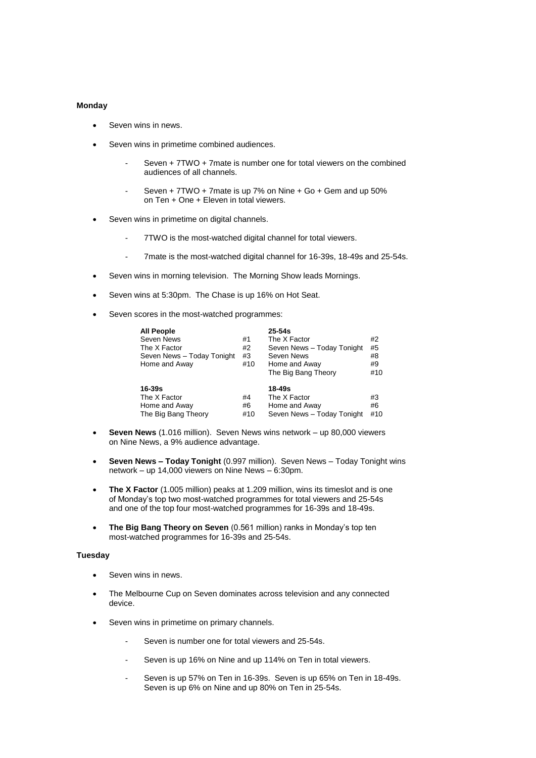### **Monday**

- Seven wins in news.
- Seven wins in primetime combined audiences.
	- Seven + 7TWO + 7mate is number one for total viewers on the combined audiences of all channels.
	- Seven + 7TWO + 7mate is up 7% on Nine + Go + Gem and up 50% on Ten + One + Eleven in total viewers.
- Seven wins in primetime on digital channels.
	- 7TWO is the most-watched digital channel for total viewers.
	- 7mate is the most-watched digital channel for 16-39s, 18-49s and 25-54s.
- Seven wins in morning television. The Morning Show leads Mornings.
- Seven wins at 5:30pm. The Chase is up 16% on Hot Seat.
- Seven scores in the most-watched programmes:

| <b>All People</b><br>Seven News<br>The X Factor<br>Seven News - Today Tonight<br>Home and Away | #1<br>#2<br>#3<br>#10 | $25 - 54s$<br>The X Factor<br>Seven News - Today Tonight<br>Seven News<br>Home and Away<br>The Big Bang Theory | #2<br>#5<br>#8<br>#9<br>#10 |
|------------------------------------------------------------------------------------------------|-----------------------|----------------------------------------------------------------------------------------------------------------|-----------------------------|
| 16-39s<br>The X Factor<br>Home and Away<br>The Big Bang Theory                                 | #4<br>#6<br>#10       | 18-49s<br>The X Factor<br>Home and Away<br>Seven News - Today Tonight                                          | #3<br>#6<br>#10             |

- **Seven News** (1.016 million). Seven News wins network up 80,000 viewers on Nine News, a 9% audience advantage.
- **Seven News – Today Tonight** (0.997 million). Seven News Today Tonight wins network – up 14,000 viewers on Nine News – 6:30pm.
- **The X Factor** (1.005 million) peaks at 1.209 million, wins its timeslot and is one of Monday's top two most-watched programmes for total viewers and 25-54s and one of the top four most-watched programmes for 16-39s and 18-49s.
- **The Big Bang Theory on Seven** (0.561 million) ranks in Monday's top ten most-watched programmes for 16-39s and 25-54s.

### **Tuesday**

- Seven wins in news.
- The Melbourne Cup on Seven dominates across television and any connected device.
- Seven wins in primetime on primary channels.
	- Seven is number one for total viewers and 25-54s.
	- Seven is up 16% on Nine and up 114% on Ten in total viewers.
	- Seven is up 57% on Ten in 16-39s. Seven is up 65% on Ten in 18-49s. Seven is up 6% on Nine and up 80% on Ten in 25-54s.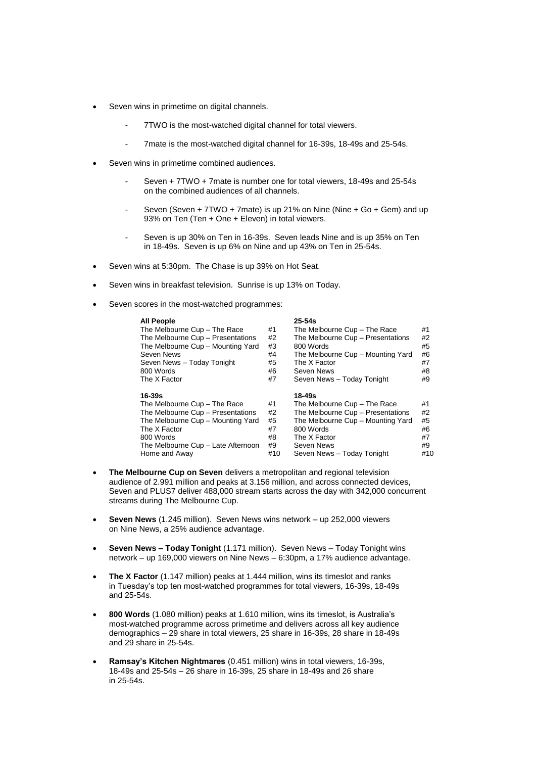- Seven wins in primetime on digital channels.
	- 7TWO is the most-watched digital channel for total viewers.
	- 7mate is the most-watched digital channel for 16-39s, 18-49s and 25-54s.
- Seven wins in primetime combined audiences.
	- Seven + 7TWO + 7mate is number one for total viewers, 18-49s and 25-54s on the combined audiences of all channels.
	- Seven (Seven + 7TWO + 7mate) is up 21% on Nine (Nine + Go + Gem) and up 93% on Ten (Ten + One + Eleven) in total viewers.
	- Seven is up 30% on Ten in 16-39s. Seven leads Nine and is up 35% on Ten in 18-49s. Seven is up 6% on Nine and up 43% on Ten in 25-54s.
- Seven wins at 5:30pm. The Chase is up 39% on Hot Seat.
- Seven wins in breakfast television. Sunrise is up 13% on Today.
- Seven scores in the most-watched programmes:

| <b>All People</b>                                                 |    | $25 - 54s$                        |    |
|-------------------------------------------------------------------|----|-----------------------------------|----|
| The Melbourne Cup - The Race                                      | #1 | The Melbourne Cup - The Race      | #1 |
| The Melbourne Cup - Presentations                                 | #2 | The Melbourne Cup - Presentations | #2 |
| The Melbourne Cup - Mounting Yard                                 | #3 | 800 Words                         | #5 |
| Seven News                                                        | #4 | The Melbourne Cup - Mounting Yard | #6 |
| Seven News - Today Tonight                                        | #5 | The X Factor                      | #7 |
| 800 Words                                                         | #6 | Seven News                        | #8 |
| The X Factor                                                      | #7 | Seven News - Today Tonight        | #9 |
|                                                                   |    |                                   |    |
| $16 - 39s$                                                        |    | $18 - 49s$                        |    |
|                                                                   | #1 | The Melbourne Cup - The Race      | #1 |
| The Melbourne Cup - The Race<br>The Melbourne Cup - Presentations | #2 | The Melbourne Cup - Presentations | #2 |
| The Melbourne Cup - Mounting Yard                                 | #5 | The Melbourne Cup - Mounting Yard | #5 |
| The X Factor                                                      | #7 | 800 Words                         | #6 |
| 800 Words                                                         | #8 | The X Factor                      | #7 |
| The Melbourne Cup - Late Afternoon                                | #9 | Seven News                        | #9 |

- **The Melbourne Cup on Seven** delivers a metropolitan and regional television audience of 2.991 million and peaks at 3.156 million, and across connected devices, Seven and PLUS7 deliver 488,000 stream starts across the day with 342,000 concurrent streams during The Melbourne Cup.
- **Seven News** (1.245 million). Seven News wins network up 252,000 viewers on Nine News, a 25% audience advantage.
- **Seven News – Today Tonight** (1.171 million). Seven News Today Tonight wins network – up 169,000 viewers on Nine News – 6:30pm, a 17% audience advantage.
- **The X Factor** (1.147 million) peaks at 1.444 million, wins its timeslot and ranks in Tuesday's top ten most-watched programmes for total viewers, 16-39s, 18-49s and 25-54s.
- **800 Words** (1.080 million) peaks at 1.610 million, wins its timeslot, is Australia's most-watched programme across primetime and delivers across all key audience demographics – 29 share in total viewers, 25 share in 16-39s, 28 share in 18-49s and 29 share in 25-54s.
- **Ramsay's Kitchen Nightmares** (0.451 million) wins in total viewers, 16-39s, 18-49s and 25-54s – 26 share in 16-39s, 25 share in 18-49s and 26 share in 25-54s.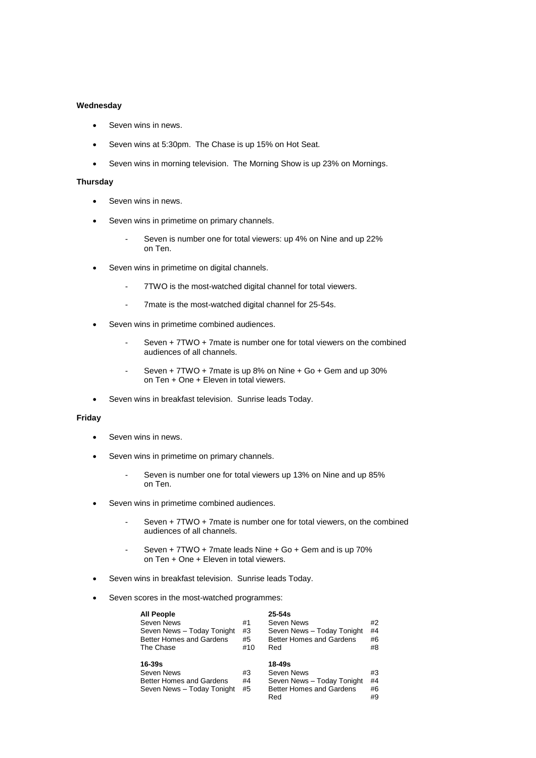## **Wednesday**

- Seven wins in news.
- Seven wins at 5:30pm. The Chase is up 15% on Hot Seat.
- Seven wins in morning television. The Morning Show is up 23% on Mornings.

### **Thursday**

- Seven wins in news.
- Seven wins in primetime on primary channels.
	- Seven is number one for total viewers: up 4% on Nine and up 22% on Ten.
- Seven wins in primetime on digital channels.
	- 7TWO is the most-watched digital channel for total viewers.
	- 7mate is the most-watched digital channel for 25-54s.
- Seven wins in primetime combined audiences.
	- Seven + 7TWO + 7mate is number one for total viewers on the combined audiences of all channels.
	- Seven + 7TWO + 7mate is up 8% on Nine + Go + Gem and up 30% on Ten + One + Eleven in total viewers.
- Seven wins in breakfast television. Sunrise leads Today.

## **Friday**

- Seven wins in news.
- Seven wins in primetime on primary channels.
	- Seven is number one for total viewers up 13% on Nine and up 85% on Ten.
- Seven wins in primetime combined audiences.
	- Seven + 7TWO + 7mate is number one for total viewers, on the combined audiences of all channels.
	- Seven + 7TWO + 7mate leads Nine + Go + Gem and is up 70% on Ten + One + Eleven in total viewers.
- Seven wins in breakfast television. Sunrise leads Today.
- Seven scores in the most-watched programmes:

| <b>All People</b><br>Seven News<br>Seven News - Today Tonight<br>Better Homes and Gardens<br>The Chase | #1<br>#3<br>#5<br>#10 | $25-54s$<br>Seven News<br>Seven News - Today Tonight<br><b>Better Homes and Gardens</b><br>Red | #2<br>#4<br>#6<br>#8 |
|--------------------------------------------------------------------------------------------------------|-----------------------|------------------------------------------------------------------------------------------------|----------------------|
| $16 - 39s$<br>Seven News<br>Better Homes and Gardens<br>Seven News - Today Tonight                     | #3<br>#4<br>#5        | 18-49s<br>Seven News<br>Seven News - Today Tonight<br>Better Homes and Gardens<br>Red          | #3<br>#4<br>#6<br>#9 |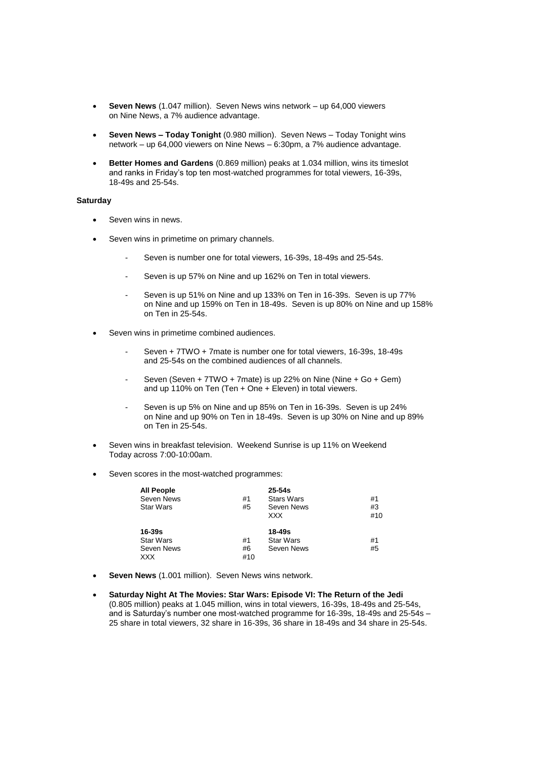- **Seven News** (1.047 million). Seven News wins network up 64,000 viewers on Nine News, a 7% audience advantage.
- **Seven News – Today Tonight** (0.980 million). Seven News Today Tonight wins network – up 64,000 viewers on Nine News – 6:30pm, a 7% audience advantage.
- **Better Homes and Gardens** (0.869 million) peaks at 1.034 million, wins its timeslot and ranks in Friday's top ten most-watched programmes for total viewers, 16-39s, 18-49s and 25-54s.

## **Saturday**

- Seven wins in news.
- Seven wins in primetime on primary channels.
	- Seven is number one for total viewers, 16-39s, 18-49s and 25-54s.
	- Seven is up 57% on Nine and up 162% on Ten in total viewers.
	- Seven is up 51% on Nine and up 133% on Ten in 16-39s. Seven is up 77% on Nine and up 159% on Ten in 18-49s. Seven is up 80% on Nine and up 158% on Ten in 25-54s.
- Seven wins in primetime combined audiences.
	- Seven + 7TWO + 7mate is number one for total viewers, 16-39s, 18-49s and 25-54s on the combined audiences of all channels.
	- Seven (Seven + 7TWO + 7mate) is up 22% on Nine (Nine + Go + Gem) and up 110% on Ten (Ten + One + Eleven) in total viewers.
	- Seven is up 5% on Nine and up 85% on Ten in 16-39s. Seven is up 24% on Nine and up 90% on Ten in 18-49s. Seven is up 30% on Nine and up 89% on Ten in 25-54s.
- Seven wins in breakfast television. Weekend Sunrise is up 11% on Weekend Today across 7:00-10:00am.
- Seven scores in the most-watched programmes:

| <b>All People</b> |     | $25 - 54s$        |     |
|-------------------|-----|-------------------|-----|
| Seven News        | #1  | <b>Stars Wars</b> | #1  |
| <b>Star Wars</b>  | #5  | Seven News        | #3  |
|                   |     | XXX               | #10 |
| $16 - 39s$        |     | $18 - 49s$        |     |
| <b>Star Wars</b>  | #1  | <b>Star Wars</b>  | #1  |
| Seven News        | #6  | Seven News        | #5  |
| <b>XXX</b>        | #10 |                   |     |

- **Seven News** (1.001 million). Seven News wins network.
- **Saturday Night At The Movies: Star Wars: Episode VI: The Return of the Jedi**  (0.805 million) peaks at 1.045 million, wins in total viewers, 16-39s, 18-49s and 25-54s, and is Saturday's number one most-watched programme for 16-39s, 18-49s and 25-54s – 25 share in total viewers, 32 share in 16-39s, 36 share in 18-49s and 34 share in 25-54s.